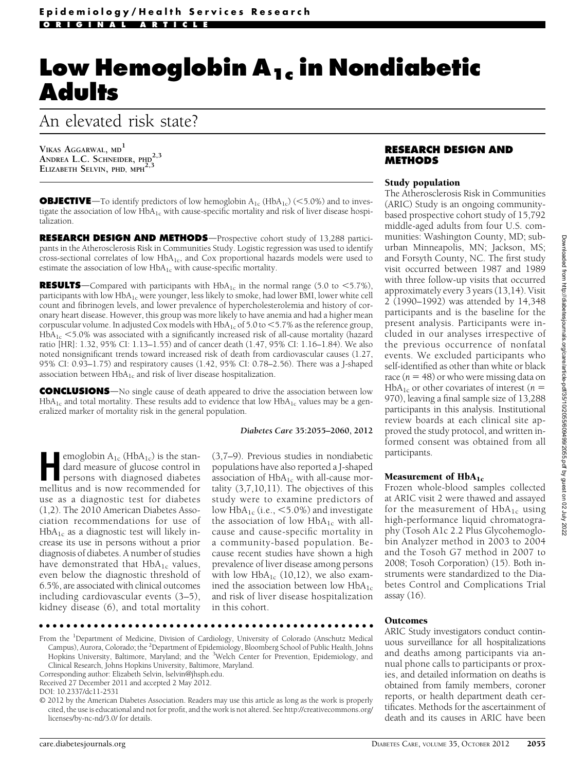# Low Hemoglobin A<sub>1c</sub> in Nondiabetic **Adults**

# An elevated risk state?

VIKAS AGGARWAL, MD<sup>1</sup> ANDREA L.C. SCHNEIDER, PHD<sup>2,3</sup> ELIZABETH SELVIN, PHD, MPH<sup>2,3</sup>

**OBJECTIVE**—To identify predictors of low hemoglobin  $A_{1c}$  (HbA<sub>1c</sub>) (<5.0%) and to investigate the association of low  $HbA_{1c}$  with cause-specific mortality and risk of liver disease hospitalization.

**RESEARCH DESIGN AND METHODS**—Prospective cohort study of 13,288 participants in the Atherosclerosis Risk in Communities Study. Logistic regression was used to identify cross-sectional correlates of low HbA<sub>1c</sub>, and Cox proportional hazards models were used to estimate the association of low  $HbA_{1c}$  with cause-specific mortality.

**RESULTS**—Compared with participants with  $HbA_{1c}$  in the normal range (5.0 to <5.7%), participants with low  $HbA_{1c}$  were younger, less likely to smoke, had lower BMI, lower white cell count and fibrinogen levels, and lower prevalence of hypercholesterolemia and history of coronary heart disease. However, this group was more likely to have anemia and had a higher mean corpuscular volume. In adjusted Cox models with  $HbA_{1c}$  of 5.0 to  $<$  5.7% as the reference group,  $HbA_{1c}$  <5.0% was associated with a significantly increased risk of all-cause mortality (hazard ratio [HR]: 1.32, 95% CI: 1.13–1.55) and of cancer death (1.47, 95% CI: 1.16–1.84). We also noted nonsignificant trends toward increased risk of death from cardiovascular causes (1.27, 95% CI: 0.93–1.75) and respiratory causes (1.42, 95% CI: 0.78–2.56). There was a J-shaped association between  $HbA_{1c}$  and risk of liver disease hospitalization.

**CONCLUSIONS**—No single cause of death appeared to drive the association between low  $HbA<sub>1c</sub>$  and total mortality. These results add to evidence that low  $HbA<sub>1c</sub>$  values may be a generalized marker of mortality risk in the general population.

#### Diabetes Care 35:2055–2060, 2012

emoglobin  $A_{1c}$  (Hb $A_{1c}$ ) is the stan-<br>dard measure of glucose control in<br>persons with diagnosed diabetes dard measure of glucose control in persons with diagnosed diabetes mellitus and is now recommended for use as a diagnostic test for diabetes (1,2). The 2010 American Diabetes Association recommendations for use of  $HbA_{1c}$  as a diagnostic test will likely increase its use in persons without a prior diagnosis of diabetes. A number of studies have demonstrated that  $HbA_{1c}$  values, even below the diagnostic threshold of 6.5%, are associated with clinical outcomes including cardiovascular events (3–5), kidney disease (6), and total mortality

(3,7–9). Previous studies in nondiabetic populations have also reported a J-shaped association of  $HbA_{1c}$  with all-cause mortality  $(3,7,10,11)$ . The objectives of this study were to examine predictors of low  $HbA_{1c}$  (i.e.,  $\leq 5.0\%$ ) and investigate the association of low  $HbA_{1c}$  with allcause and cause-specific mortality in a community-based population. Because recent studies have shown a high prevalence of liver disease among persons with low  $HbA_{1c}$  (10,12), we also examined the association between low  $HbA_{1c}$ and risk of liver disease hospitalization in this cohort.

#### ccccccccccccccccccccccccccccccccccccccccccccccccc

From the <sup>1</sup>Department of Medicine, Division of Cardiology, University of Colorado (Anschutz Medical Campus), Aurora, Colorado; the <sup>2</sup>Department of Epidemiology, Bloomberg School of Public Health, Johns Hopkins University, Baltimore, Maryland; and the <sup>3</sup>Welch Center for Prevention, Epidemiology, and Clinical Research, Johns Hopkins University, Baltimore, Maryland.

## RESEARCH DESIGN AND METHODS

#### Study population

The Atherosclerosis Risk in Communities (ARIC) Study is an ongoing communitybased prospective cohort study of 15,792 middle-aged adults from four U.S. communities: Washington County, MD; suburban Minneapolis, MN; Jackson, MS; and Forsyth County, NC. The first study visit occurred between 1987 and 1989 with three follow-up visits that occurred approximately every 3 years (13,14). Visit 2 (1990–1992) was attended by 14,348 participants and is the baseline for the present analysis. Participants were included in our analyses irrespective of the previous occurrence of nonfatal events. We excluded participants who self-identified as other than white or black race  $(n = 48)$  or who were missing data on  $HbA_{1c}$  or other covariates of interest (*n* = 970), leaving a final sample size of 13,288 participants in this analysis. Institutional review boards at each clinical site approved the study protocol, and written informed consent was obtained from all participants.

## Measurement of  $HbA_{1c}$

Frozen whole-blood samples collected at ARIC visit 2 were thawed and assayed for the measurement of  $HbA_{1c}$  using high-performance liquid chromatography (Tosoh A1c 2.2 Plus Glycohemoglobin Analyzer method in 2003 to 2004 and the Tosoh G7 method in 2007 to 2008; Tosoh Corporation) (15). Both instruments were standardized to the Diabetes Control and Complications Trial assay (16).

#### Outcomes

ARIC Study investigators conduct continuous surveillance for all hospitalizations and deaths among participants via annual phone calls to participants or proxies, and detailed information on deaths is obtained from family members, coroner reports, or health department death certificates. Methods for the ascertainment of death and its causes in ARIC have been

Corresponding author: Elizabeth Selvin, [lselvin@jhsph.edu.](mailto:lselvin@jhsph.edu)

Received 27 December 2011 and accepted 2 May 2012.

DOI: 10.2337/dc11-2531

<sup>© 2012</sup> by the American Diabetes Association. Readers may use this article as long as the work is properly cited, the use is educational and not for profit, and the work is not altered. See [http://creativecommons.org/](http://creativecommons.org/licenses/by-nc-nd/3.0/) [licenses/by-nc-nd/3.0/](http://creativecommons.org/licenses/by-nc-nd/3.0/) for details.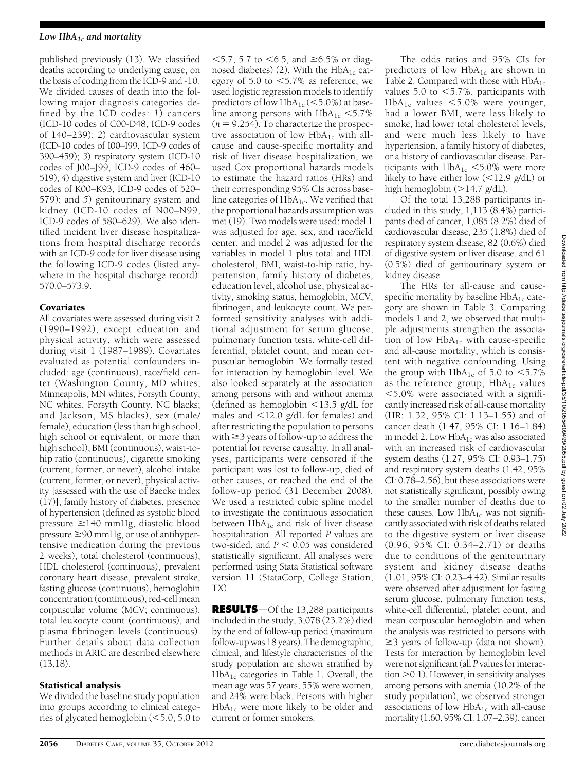#### Low  $HbA_{1c}$  and mortality

published previously (13). We classified deaths according to underlying cause, on the basis of coding from the ICD-9 and -10. We divided causes of death into the following major diagnosis categories defined by the ICD codes: 1) cancers (ICD-10 codes of C00-D48, ICD-9 codes of 140–239); 2) cardiovascular system (ICD-10 codes of I00–I99, ICD-9 codes of 390–459); 3) respiratory system (ICD-10 codes of J00–J99, ICD-9 codes of 460– 519); 4) digestive system and liver (ICD-10 codes of K00–K93, ICD-9 codes of 520– 579); and 5) genitourinary system and kidney (ICD-10 codes of N00–N99, ICD-9 codes of 580–629). We also identified incident liver disease hospitalizations from hospital discharge records with an ICD-9 code for liver disease using the following ICD-9 codes (listed anywhere in the hospital discharge record): 570.0–573.9.

# Covariates

All covariates were assessed during visit 2 (1990–1992), except education and physical activity, which were assessed during visit 1 (1987–1989). Covariates evaluated as potential confounders included: age (continuous), race/field center (Washington County, MD whites; Minneapolis, MN whites; Forsyth County, NC whites, Forsyth County, NC blacks; and Jackson, MS blacks), sex (male/ female), education (less than high school, high school or equivalent, or more than high school), BMI (continuous), waist-tohip ratio (continuous), cigarette smoking (current, former, or never), alcohol intake (current, former, or never), physical activity [assessed with the use of Baecke index (17)], family history of diabetes, presence of hypertension (defined as systolic blood pressure  $\geq$ 140 mmHg, diastolic blood pressure  $\geq 90$  mmHg, or use of antihypertensive medication during the previous 2 weeks), total cholesterol (continuous), HDL cholesterol (continuous), prevalent coronary heart disease, prevalent stroke, fasting glucose (continuous), hemoglobin concentration (continuous), red-cell mean corpuscular volume (MCV; continuous), total leukocyte count (continuous), and plasma fibrinogen levels (continuous). Further details about data collection methods in ARIC are described elsewhere (13,18).

## Statistical analysis

We divided the baseline study population into groups according to clinical categories of glycated hemoglobin  $(<5.0, 5.0$  to

 $<$  5.7, 5.7 to  $<$  6.5, and  $\ge$  6.5% or diagnosed diabetes) (2). With the  $HbA_{1c}$  category of 5.0 to  $<5.7\%$  as reference, we used logistic regression models to identify predictors of low  $HbA_{1c}$  (<5.0%) at baseline among persons with  $HbA_{1c} < 5.7\%$  $(n = 9,254)$ . To characterize the prospective association of low  $HbA_{1c}$  with allcause and cause-specific mortality and risk of liver disease hospitalization, we used Cox proportional hazards models to estimate the hazard ratios (HRs) and their corresponding 95% CIs across baseline categories of  $HbA_{1c}$ . We verified that the proportional hazards assumption was met (19). Two models were used: model 1 was adjusted for age, sex, and race/field center, and model 2 was adjusted for the variables in model 1 plus total and HDL cholesterol, BMI, waist-to-hip ratio, hypertension, family history of diabetes, education level, alcohol use, physical activity, smoking status, hemoglobin, MCV, fibrinogen, and leukocyte count. We performed sensitivity analyses with additional adjustment for serum glucose, pulmonary function tests, white-cell differential, platelet count, and mean corpuscular hemoglobin. We formally tested for interaction by hemoglobin level. We also looked separately at the association among persons with and without anemia (defined as hemoglobin  $\langle 13.5 \text{ g/dL} \rangle$  for males and  $\langle 12.0 \text{ g/d}$ L for females) and after restricting the population to persons with  $\geq$ 3 years of follow-up to address the potential for reverse causality. In all analyses, participants were censored if the participant was lost to follow-up, died of other causes, or reached the end of the follow-up period (31 December 2008). We used a restricted cubic spline model to investigate the continuous association between  $HbA_{1c}$  and risk of liver disease hospitalization. All reported P values are two-sided, and  $P < 0.05$  was considered statistically significant. All analyses were performed using Stata Statistical software version 11 (StataCorp, College Station, TX).

RESULTS-Of the 13,288 participants included in the study, 3,078 (23.2%) died by the end of follow-up period (maximum follow-up was 18 years). The demographic, clinical, and lifestyle characteristics of the study population are shown stratified by  $HbA_{1c}$  categories in Table 1. Overall, the mean age was 57 years, 55% were women, and 24% were black. Persons with higher HbA1c were more likely to be older and current or former smokers.

The odds ratios and 95% CIs for predictors of low HbA<sub>1c</sub> are shown in Table 2. Compared with those with  $HbA_{1c}$ values 5.0 to  $<$  5.7%, participants with  $HbA_{1c}$  values <5.0% were younger, had a lower BMI, were less likely to smoke, had lower total cholesterol levels, and were much less likely to have hypertension, a family history of diabetes, or a history of cardiovascular disease. Participants with  $HbA_{1c} < 5.0\%$  were more likely to have either low  $\langle$  <12.9 g/dL) or high hemoglobin  $(>14.7 \text{ g/dL})$ .

Of the total 13,288 participants included in this study, 1,113 (8.4%) participants died of cancer, 1,085 (8.2%) died of cardiovascular disease, 235 (1.8%) died of respiratory system disease, 82 (0.6%) died of digestive system or liver disease, and 61 (0.5%) died of genitourinary system or kidney disease.

The HRs for all-cause and causespecific mortality by baseline  $HbA_{1c}$  category are shown in Table 3. Comparing models 1 and 2, we observed that multiple adjustments strengthen the association of low  $HbA_{1c}$  with cause-specific and all-cause mortality, which is consistent with negative confounding. Using the group with  $HbA_{1c}$  of 5.0 to  $<5.7\%$ as the reference group,  $HbA_{1c}$  values  $<$  5.0% were associated with a significantly increased risk of all-cause mortality (HR: 1.32, 95% CI: 1.13–1.55) and of cancer death (1.47, 95% CI: 1.16–1.84) in model 2. Low  $HbA_{1c}$  was also associated with an increased risk of cardiovascular system deaths (1.27, 95% CI: 0.93–1.75) and respiratory system deaths (1.42, 95% CI: 0.78–2.56), but these associations were not statistically significant, possibly owing to the smaller number of deaths due to these causes. Low  $HbA_{1c}$  was not significantly associated with risk of deaths related to the digestive system or liver disease (0.96, 95% CI: 0.34–2.71) or deaths due to conditions of the genitourinary system and kidney disease deaths (1.01, 95% CI: 0.23–4.42). Similar results were observed after adjustment for fasting serum glucose, pulmonary function tests, white-cell differential, platelet count, and mean corpuscular hemoglobin and when the analysis was restricted to persons with  $\geq$ 3 years of follow-up (data not shown). Tests for interaction by hemoglobin level were not significant (all P values for interaction  $>$  0.1). However, in sensitivity analyses among persons with anemia (10.2% of the study population), we observed stronger associations of low  $HbA_{1c}$  with all-cause mortality (1.60, 95% CI: 1.07–2.39), cancer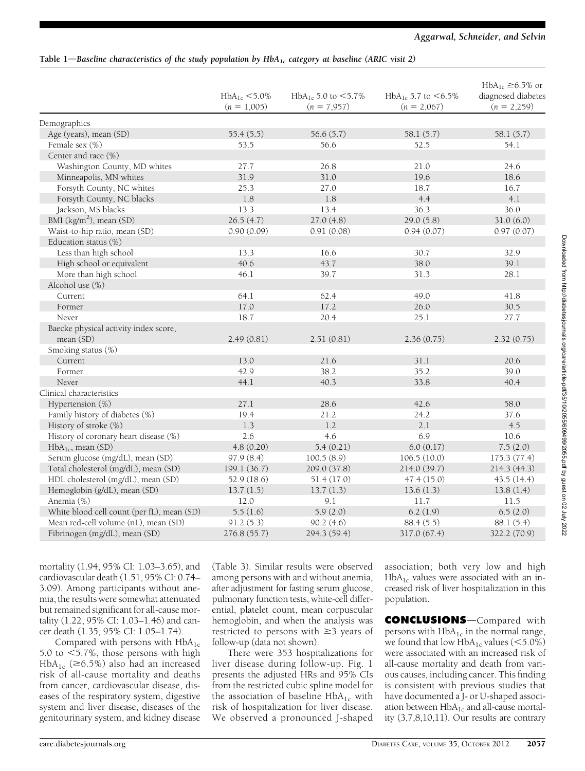# Aggarwal, Schneider, and Selvin

# Table 1—Baseline characteristics of the study population by  $HbA_{1c}$  category at baseline (ARIC visit 2)

|                                            | $HbA_{1c} < 5.0\%$<br>$(n = 1,005)$ | HbA <sub>1c</sub> 5.0 to $<$ 5.7%<br>$(n = 7,957)$ | HbA <sub>1c</sub> 5.7 to $<$ 6.5%<br>$(n = 2,067)$ | $HbA_{1c} \ge 6.5\%$ or<br>diagnosed diabetes<br>$(n = 2,259)$ |
|--------------------------------------------|-------------------------------------|----------------------------------------------------|----------------------------------------------------|----------------------------------------------------------------|
| Demographics                               |                                     |                                                    |                                                    |                                                                |
| Age (years), mean (SD)                     | 55.4(5.5)                           | 56.6(5.7)                                          | 58.1 (5.7)                                         | 58.1 (5.7)                                                     |
| Female sex (%)                             | 53.5                                | 56.6                                               | 52.5                                               | 54.1                                                           |
| Center and race (%)                        |                                     |                                                    |                                                    |                                                                |
| Washington County, MD whites               | 27.7                                | 26.8                                               | 21.0                                               | 24.6                                                           |
| Minneapolis, MN whites                     | 31.9                                | 31.0                                               | 19.6                                               | 18.6                                                           |
| Forsyth County, NC whites                  | 25.3                                | 27.0                                               | 18.7                                               | 16.7                                                           |
| Forsyth County, NC blacks                  | 1.8                                 | 1.8                                                | 4.4                                                | 4.1                                                            |
| Jackson, MS blacks                         | 13.3                                | 13.4                                               | 36.3                                               | 36.0                                                           |
| BMI $(kg/m2)$ , mean (SD)                  | 26.5(4.7)                           | 27.0(4.8)                                          | 29.0(5.8)                                          | 31.0(6.0)                                                      |
| Waist-to-hip ratio, mean (SD)              | 0.90(0.09)                          | 0.91(0.08)                                         | 0.94(0.07)                                         | 0.97(0.07)                                                     |
| Education status (%)                       |                                     |                                                    |                                                    |                                                                |
| Less than high school                      | 13.3                                | 16.6                                               | 30.7                                               | 32.9                                                           |
| High school or equivalent                  | 40.6                                | 43.7                                               | 38.0                                               | 39.1                                                           |
| More than high school                      | 46.1                                | 39.7                                               | 31.3                                               | 28.1                                                           |
| Alcohol use (%)                            |                                     |                                                    |                                                    |                                                                |
| Current                                    | 64.1                                | 62.4                                               | 49.0                                               | 41.8                                                           |
| Former                                     | 17.0                                | 17.2                                               | 26.0                                               | 30.5                                                           |
| Never                                      | 18.7                                | 20.4                                               | 25.1                                               | 27.7                                                           |
| Baecke physical activity index score,      |                                     |                                                    |                                                    |                                                                |
| mean (SD)                                  | 2.49(0.81)                          | 2.51(0.81)                                         | 2.36(0.75)                                         | 2.32(0.75)                                                     |
| Smoking status (%)                         |                                     |                                                    |                                                    |                                                                |
| Current                                    | 13.0                                | 21.6                                               | 31.1                                               | 20.6                                                           |
| Former                                     | 42.9                                | 38.2                                               | 35.2                                               | 39.0                                                           |
| Never                                      | 44.1                                | 40.3                                               | 33.8                                               | 40.4                                                           |
| Clinical characteristics                   |                                     |                                                    |                                                    |                                                                |
| Hypertension (%)                           | 27.1                                | 28.6                                               | 42.6                                               | 58.0                                                           |
| Family history of diabetes (%)             | 19.4                                | 21.2                                               | 24.2                                               | 37.6                                                           |
| History of stroke (%)                      | 1.3                                 | 1.2                                                | 2.1                                                | 4.5                                                            |
| History of coronary heart disease (%)      | 2.6                                 | 4.6                                                | 6.9                                                | 10.6                                                           |
| $HbA_{1c}$ , mean (SD)                     | 4.8(0.20)                           | 5.4(0.21)                                          | 6.0(0.17)                                          | 7.5(2.0)                                                       |
| Serum glucose (mg/dL), mean (SD)           | 97.9(8.4)                           | 100.5(8.9)                                         | 106.5(10.0)                                        | 175.3(77.4)                                                    |
| Total cholesterol (mg/dL), mean (SD)       | 199.1 (36.7)                        | 209.0 (37.8)                                       | 214.0 (39.7)                                       | 214.3 (44.3)                                                   |
| HDL cholesterol (mg/dL), mean (SD)         | 52.9 (18.6)                         | 51.4(17.0)                                         | 47.4(15.0)                                         | 43.5(14.4)                                                     |
| Hemoglobin (g/dL), mean (SD)               | 13.7(1.5)                           | 13.7(1.3)                                          | 13.6(1.3)                                          | 13.8(1.4)                                                      |
| Anemia (%)                                 | 12.0                                | 9.1                                                | 11.7                                               | 11.5                                                           |
| White blood cell count (per fL), mean (SD) | 5.5(1.6)                            | 5.9(2.0)                                           | 6.2(1.9)                                           | 6.5(2.0)                                                       |
| Mean red-cell volume (nL), mean (SD)       | 91.2(5.3)                           | 90.2(4.6)                                          | 88.4(5.5)                                          | 88.1 (5.4)                                                     |
| Fibrinogen (mg/dL), mean (SD)              | 276.8 (55.7)                        | 294.3 (59.4)                                       | 317.0 (67.4)                                       | 322.2 (70.9)                                                   |

Downloaded from http://diabetesjournals.org/care/article-pdf/35/10/2055/609499/2055.pdf by guest on 02 July 2022 Downloaded from http://diabetesjournals.org/care/article-pdf/35/10/2055/609499/2055.pdf by guest on 02 July 2022

mortality (1.94, 95% CI: 1.03–3.65), and cardiovascular death (1.51, 95% CI: 0.74– 3.09). Among participants without anemia, the results were somewhat attenuated but remained significant for all-cause mortality (1.22, 95% CI: 1.03–1.46) and cancer death (1.35, 95% CI: 1.05–1.74).

Compared with persons with  $HbA_{1c}$ 5.0 to  $<$  5.7%, those persons with high HbA<sub>1c</sub> ( $\geq$ 6.5%) also had an increased risk of all-cause mortality and deaths from cancer, cardiovascular disease, diseases of the respiratory system, digestive system and liver disease, diseases of the genitourinary system, and kidney disease

(Table 3). Similar results were observed among persons with and without anemia, after adjustment for fasting serum glucose, pulmonary function tests, white-cell differential, platelet count, mean corpuscular hemoglobin, and when the analysis was restricted to persons with  $\geq$ 3 years of follow-up (data not shown).

There were 353 hospitalizations for liver disease during follow-up. Fig. 1 presents the adjusted HRs and 95% CIs from the restricted cubic spline model for the association of baseline  $HbA_{1c}$  with risk of hospitalization for liver disease. We observed a pronounced J-shaped

association; both very low and high  $HbA_{1c}$  values were associated with an increased risk of liver hospitalization in this population.

**CONCLUSIONS**-Compared with persons with  $HbA_{1c}$  in the normal range, we found that low  $HbA_{1c}$  values (<5.0%) were associated with an increased risk of all-cause mortality and death from various causes, including cancer. This finding is consistent with previous studies that have documented a J- or U-shaped association between  $HbA_{1c}$  and all-cause mortality (3,7,8,10,11). Our results are contrary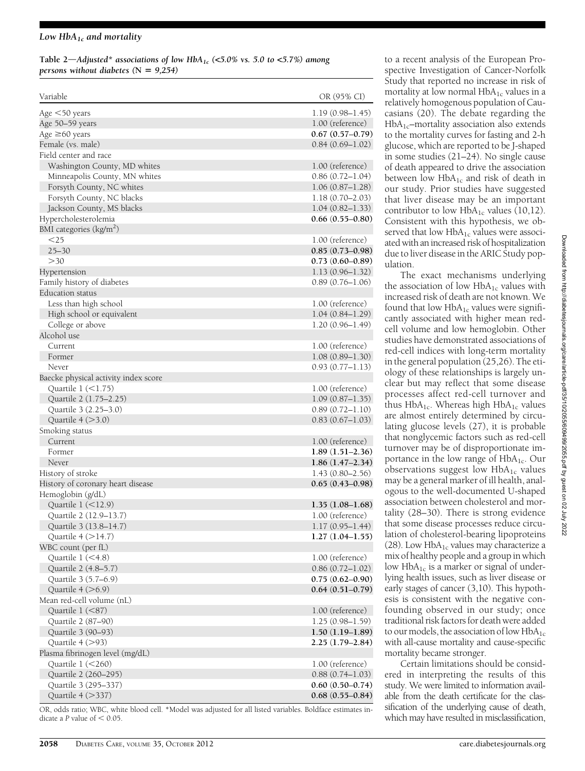#### Low  $HbA_{1c}$  and mortality

Table 2—Adjusted\* associations of low HbA<sub>1c</sub> (<5.0% vs. 5.0 to <5.7%) among persons without diabetes  $(N = 9,254)$ 

| Variable                               | OR (95% CI)         |
|----------------------------------------|---------------------|
| Age $<$ 50 years                       | $1.19(0.98 - 1.45)$ |
| Age 50-59 years                        | 1.00 (reference)    |
| Age $\geq 60$ years                    | $0.67(0.57-0.79)$   |
| Female (vs. male)                      | $0.84(0.69-1.02)$   |
| Field center and race                  |                     |
| Washington County, MD whites           | 1.00 (reference)    |
| Minneapolis County, MN whites          | $0.86(0.72 - 1.04)$ |
| Forsyth County, NC whites              | $1.06(0.87-1.28)$   |
| Forsyth County, NC blacks              | $1.18(0.70 - 2.03)$ |
| Jackson County, MS blacks              | $1.04(0.82 - 1.33)$ |
| Hypercholesterolemia                   | $0.66(0.55-0.80)$   |
| BMI categories $\frac{\text{kg}}{m^2}$ |                     |
| $<$ 25                                 | 1.00 (reference)    |
| $25 - 30$                              | $0.85(0.73-0.98)$   |
| >30                                    | $0.73(0.60-0.89)$   |
| Hypertension                           | $1.13(0.96 - 1.32)$ |
| Family history of diabetes             | $0.89(0.76 - 1.06)$ |
| Education status                       |                     |
| Less than high school                  | 1.00 (reference)    |
| High school or equivalent              | $1.04(0.84 - 1.29)$ |
| College or above                       | $1.20(0.96 - 1.49)$ |
| Alcohol use                            |                     |
| Current                                | 1.00 (reference)    |
| Former                                 | $1.08(0.89 - 1.30)$ |
| Never                                  | $0.93(0.77 - 1.13)$ |
|                                        |                     |
| Baecke physical activity index score   |                     |
| Quartile $1 \le 1.75$                  | 1.00 (reference)    |
| Quartile 2 (1.75-2.25)                 | $1.09(0.87-1.35)$   |
| Quartile 3 (2.25-3.0)                  | $0.89(0.72 - 1.10)$ |
| Quartile $4 (>3.0)$                    | $0.83(0.67-1.03)$   |
| Smoking status                         |                     |
| Current                                | 1.00 (reference)    |
| Former                                 | $1.89(1.51-2.36)$   |
| Never                                  | $1.86(1.47-2.34)$   |
| History of stroke                      | $1.43(0.80 - 2.56)$ |
| History of coronary heart disease      | $0.65(0.43-0.98)$   |
| Hemoglobin (g/dL)                      |                     |
| Quartile 1 (<12.9)                     | $1.35(1.08-1.68)$   |
| Quartile 2 (12.9–13.7)                 | 1.00 (reference)    |
| Ouartile 3 (13.8–14.7)                 | $1.17(0.95 - 1.44)$ |
| Quartile $4 (>14.7)$                   | $1.27(1.04-1.55)$   |
| WBC count (per fL)                     |                     |
| Quartile 1 (<4.8)                      | 1.00 (reference)    |
| Quartile 2 (4.8-5.7)                   | $0.86(0.72 - 1.02)$ |
| Quartile 3 (5.7–6.9)                   | $0.75(0.62 - 0.90)$ |
| Quartile $4$ ( $>6.9$ )                | $0.64(0.51-0.79)$   |
| Mean red-cell volume (nL)              |                     |
| Quartile 1 (<87)                       | 1.00 (reference)    |
| Quartile 2 (87-90)                     | $1.25(0.98 - 1.59)$ |
| Quartile 3 (90-93)                     | $1.50(1.19-1.89)$   |
| Quartile 4 (>93)                       | $2.25(1.79-2.84)$   |
| Plasma fibrinogen level (mg/dL)        |                     |
| Quartile 1 (<260)                      | 1.00 (reference)    |
| Quartile 2 (260-295)                   | $0.88(0.74 - 1.03)$ |
| Quartile 3 (295-337)                   | $0.60(0.50-0.74)$   |
| Quartile 4 (>337)                      | $0.68(0.55-0.84)$   |

OR, odds ratio; WBC, white blood cell. \*Model was adjusted for all listed variables. Boldface estimates indicate a P value of  $< 0.05$ .

to a recent analysis of the European Prospective Investigation of Cancer-Norfolk Study that reported no increase in risk of mortality at low normal  $HbA_{1c}$  values in a relatively homogenous population of Caucasians (20). The debate regarding the  $HbA_{1c}$ -mortality association also extends to the mortality curves for fasting and 2-h glucose, which are reported to be J-shaped in some studies (21–24). No single cause of death appeared to drive the association between low  $HbA_{1c}$  and risk of death in our study. Prior studies have suggested that liver disease may be an important contributor to low  $HbA_{1c}$  values (10,12). Consistent with this hypothesis, we observed that low  $HbA_{1c}$  values were associated with an increased risk of hospitalization due to liver disease in the ARIC Study population.

The exact mechanisms underlying the association of low  $HbA_{1c}$  values with increased risk of death are not known. We found that low  $HbA_{1c}$  values were significantly associated with higher mean redcell volume and low hemoglobin. Other studies have demonstrated associations of red-cell indices with long-term mortality in the general population (25,26). The etiology of these relationships is largely unclear but may reflect that some disease processes affect red-cell turnover and thus  $HbA_{1c}$ . Whereas high  $HbA_{1c}$  values are almost entirely determined by circulating glucose levels (27), it is probable that nonglycemic factors such as red-cell turnover may be of disproportionate importance in the low range of  $HbA_{1c}$ . Our observations suggest low  $HbA_{1c}$  values may be a general marker of ill health, analogous to the well-documented U-shaped association between cholesterol and mortality (28–30). There is strong evidence that some disease processes reduce circulation of cholesterol-bearing lipoproteins (28). Low  $HbA_{1c}$  values may characterize a mix of healthy people and a group in which low  $HbA_{1c}$  is a marker or signal of underlying health issues, such as liver disease or early stages of cancer (3,10). This hypothesis is consistent with the negative confounding observed in our study; once traditional risk factors for death were added to our models, the association of low  $HbA_{1c}$ with all-cause mortality and cause-specific mortality became stronger.

Certain limitations should be considered in interpreting the results of this study. We were limited to information available from the death certificate for the classification of the underlying cause of death, which may have resulted in misclassification,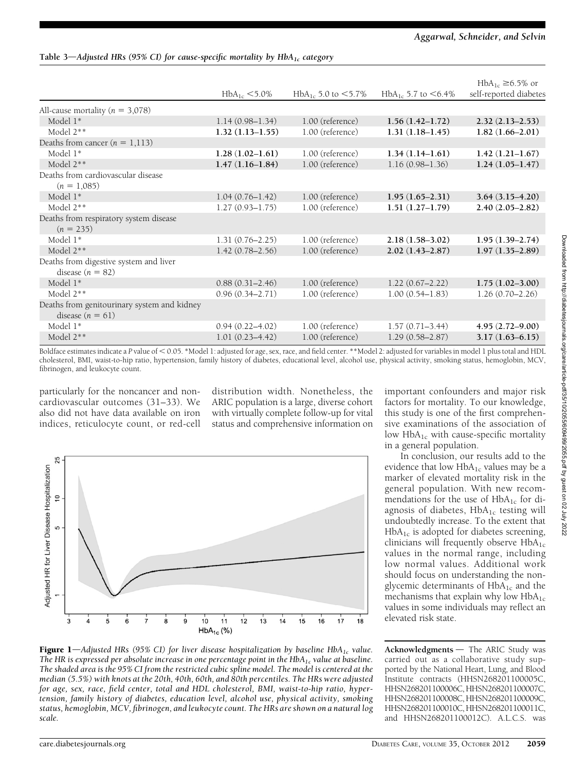# Aggarwal, Schneider, and Selvin

Table 3—Adjusted HRs (95% CI) for cause-specific mortality by  $HbA_{1c}$  category

|                                                                   | $HbA_{1c} < 5.0\%$  | $HbA_{1c}$ 5.0 to $<$ 5.7% | HbA <sub>1c</sub> 5.7 to $< 6.4\%$                            | $HbA_{1c} \geq 6.5\%$ or<br>self-reported diabetes |
|-------------------------------------------------------------------|---------------------|----------------------------|---------------------------------------------------------------|----------------------------------------------------|
| All-cause mortality ( $n = 3,078$ )                               |                     |                            |                                                               |                                                    |
| Model 1*                                                          | $1.14(0.98 - 1.34)$ | 1.00 (reference)           | $1.56(1.42 - 1.72)$                                           | $2.32(2.13 - 2.53)$                                |
| Model $2**$                                                       | $1.32(1.13 - 1.55)$ | 1.00 (reference)           | $1.31(1.18-1.45)$                                             | $1.82(1.66-2.01)$                                  |
| Deaths from cancer $(n = 1, 113)$                                 |                     |                            |                                                               |                                                    |
| Model 1*                                                          | $1.28(1.02 - 1.61)$ | 1.00 (reference)           | $1.34(1.14-1.61)$                                             | $1.42(1.21-1.67)$                                  |
| Model 2**                                                         | $1.47(1.16-1.84)$   | 1.00 (reference)           | $1.16(0.98 - 1.36)$                                           | $1.24(1.05-1.47)$                                  |
| Deaths from cardiovascular disease<br>$(n = 1,085)$               |                     |                            |                                                               |                                                    |
| Model 1*                                                          | $1.04(0.76 - 1.42)$ | 1.00 (reference)           | $1.95(1.65-2.31)$                                             | $3.64(3.15 - 4.20)$                                |
| Model $2**$                                                       | $1.27(0.93 - 1.75)$ | 1.00 (reference)           | $1.51(1.27-1.79)$                                             | $2.40(2.05 - 2.82)$                                |
| Deaths from respiratory system disease<br>$(n = 235)$             |                     |                            |                                                               |                                                    |
| Model 1*                                                          | $1.31(0.76 - 2.25)$ | 1.00 (reference)           | $2.18(1.58 - 3.02)$                                           | $1.95(1.39-2.74)$                                  |
| Model $2**$                                                       | $1.42(0.78 - 2.56)$ | 1.00 (reference)           | $2.02(1.43 - 2.87)$                                           | $1.97(1.35-2.89)$                                  |
| Deaths from digestive system and liver<br>disease $(n = 82)$      |                     |                            |                                                               |                                                    |
| Model $1^*$                                                       | $0.88(0.31 - 2.46)$ | 1.00 (reference)           | $1.22(0.67 - 2.22)$                                           | $1.75(1.02 - 3.00)$                                |
| Model 2**                                                         | $0.96(0.34 - 2.71)$ | 1.00 (reference)           | $1.00(0.54 - 1.83)$                                           | $1.26(0.70 - 2.26)$                                |
| Deaths from genitourinary system and kidney<br>disease $(n = 61)$ |                     |                            |                                                               |                                                    |
| Model 1*                                                          | $0.94(0.22 - 4.02)$ | 1.00 (reference)           | $1.57(0.71 - 3.44)$                                           | $4.95(2.72 - 9.00)$                                |
| Model $2**$<br>$n + 1 + c$<br>$0.4007 \div 111 \div 10$           | $1.01(0.23 - 4.42)$ | 1.00 (reference)           | $1.29(0.58 - 2.87)$<br>$10.11$ $20.436$ $110$ $10$ $10$ $111$ | $3.17(1.63 - 6.15)$<br>111 1 1 11151               |

Boldface estimates indicate a P value of < 0.05. \*Model 1: adjusted for age, sex, race, and field center. \*\*Model 2: adjusted for variables in model 1 plus total and HDL cholesterol, BMI, waist-to-hip ratio, hypertension, family history of diabetes, educational level, alcohol use, physical activity, smoking status, hemoglobin, MCV, fibrinogen, and leukocyte count.

particularly for the noncancer and noncardiovascular outcomes (31–33). We also did not have data available on iron indices, reticulocyte count, or red-cell distribution width. Nonetheless, the ARIC population is a large, diverse cohort with virtually complete follow-up for vital status and comprehensive information on



**Figure 1**—Adjusted HRs (95% CI) for liver disease hospitalization by baseline HbA<sub>1c</sub> value. The HR is expressed per absolute increase in one percentage point in the  $HbA_{1c}$  value at baseline. The shaded area is the 95% CI from the restricted cubic spline model. The model is centered at the median (5.5%) with knots at the 20th, 40th, 60th, and 80th percentiles. The HRs were adjusted for age, sex, race, field center, total and HDL cholesterol, BMI, waist-to-hip ratio, hypertension, family history of diabetes, education level, alcohol use, physical activity, smoking status, hemoglobin, MCV, fibrinogen, and leukocyte count. The HRs are shown on a natural log scale.

important confounders and major risk factors for mortality. To our knowledge, this study is one of the first comprehensive examinations of the association of low HbA<sub>1c</sub> with cause-specific mortality in a general population.

In conclusion, our results add to the evidence that low  $HbA_{1c}$  values may be a marker of elevated mortality risk in the general population. With new recommendations for the use of  $HbA_{1c}$  for diagnosis of diabetes,  $HbA_{1c}$  testing will undoubtedly increase. To the extent that  $HbA_{1c}$  is adopted for diabetes screening, clinicians will frequently observe  $HbA_{1c}$ values in the normal range, including low normal values. Additional work should focus on understanding the nonglycemic determinants of  $HbA_{1c}$  and the mechanisms that explain why low  $HbA_{1c}$ values in some individuals may reflect an elevated risk state.

 $Acknowledgments$  The ARIC Study was carried out as a collaborative study supported by the National Heart, Lung, and Blood Institute contracts (HHSN268201100005C, HHSN268201100006C, HHSN268201100007C, HHSN268201100008C, HHSN268201100009C, HHSN268201100010C, HHSN268201100011C, and HHSN268201100012C). A.L.C.S. was